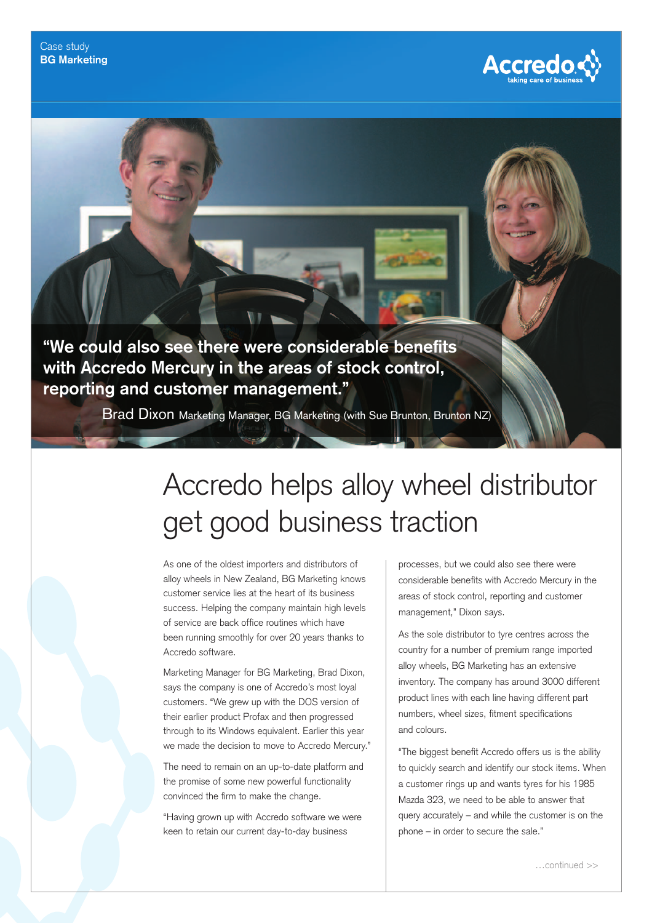"We could also see there were considerable benefits **with Accredo Mercury in the areas of stock control, reporting and customer management."**

Brad Dixon Marketing Manager, BG Marketing (with Sue Brunton, Brunton NZ)

## Accredo helps alloy wheel distributor get good business traction

As one of the oldest importers and distributors of alloy wheels in New Zealand, BG Marketing knows customer service lies at the heart of its business success. Helping the company maintain high levels of service are back office routines which have been running smoothly for over 20 years thanks to Accredo software.

Marketing Manager for BG Marketing, Brad Dixon, says the company is one of Accredo's most loyal customers. "We grew up with the DOS version of their earlier product Profax and then progressed through to its Windows equivalent. Earlier this year we made the decision to move to Accredo Mercury."

The need to remain on an up-to-date platform and the promise of some new powerful functionality convinced the firm to make the change.

"Having grown up with Accredo software we were keen to retain our current day-to-day business

processes, but we could also see there were considerable benefits with Accredo Mercury in the areas of stock control, reporting and customer management," Dixon says.

**Accredo ¢** 

As the sole distributor to tyre centres across the country for a number of premium range imported alloy wheels, BG Marketing has an extensive inventory. The company has around 3000 different product lines with each line having different part numbers, wheel sizes, fitment specifications and colours.

"The biggest benefit Accredo offers us is the ability to quickly search and identify our stock items. When a customer rings up and wants tyres for his 1985 Mazda 323, we need to be able to answer that query accurately – and while the customer is on the phone – in order to secure the sale."